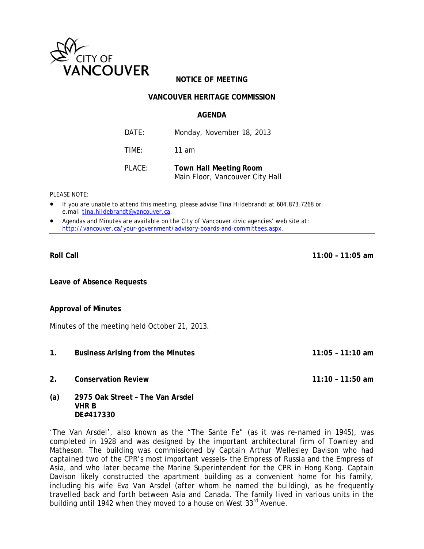

# **NOTICE OF MEETING**

## **VANCOUVER HERITAGE COMMISSION**

#### **AGENDA**

| DATF:  | Monday, November 18, 2013     |
|--------|-------------------------------|
| TIMF:  | 11 am                         |
| PLACE: | <b>Town Hall Meeting Room</b> |

Main Floor, Vancouver City Hall

*PLEASE NOTE:* 

- *If you are unable to attend this meeting, please advise Tina Hildebrandt at 604.873.7268 or e.mail tina.hildebrandt@vancouver.ca*.
- *Agendas and Minutes are available on the City of Vancouver civic agencies' web site at: http://vancouver.ca/your-government/advisory-boards-and-committees.aspx*.

#### **Roll Call 11:00 – 11:05 am**

**Leave of Absence Requests** 

#### **Approval of Minutes**

Minutes of the meeting held October 21, 2013.

- **1. Business Arising from the Minutes 11:05 11:10 am**
- **2. Conservation Review 11:10 11:50 am**

**DE#417330** 

**(a) 2975 Oak Street – The Van Arsdel VHR B** 

'The Van Arsdel', also known as the "The Sante Fe" (as it was re-named in 1945), was completed in 1928 and was designed by the important architectural firm of Townley and Matheson. The building was commissioned by Captain Arthur Wellesley Davison who had captained two of the CPR's most important vessels- the *Empress of Russia* and the *Empress of Asia*, and who later became the Marine Superintendent for the CPR in Hong Kong. Captain Davison likely constructed the apartment building as a convenient home for his family, including his wife Eva Van Arsdel (after whom he named the building), as he frequently travelled back and forth between Asia and Canada. The family lived in various units in the building until 1942 when they moved to a house on West 33<sup>rd</sup> Avenue.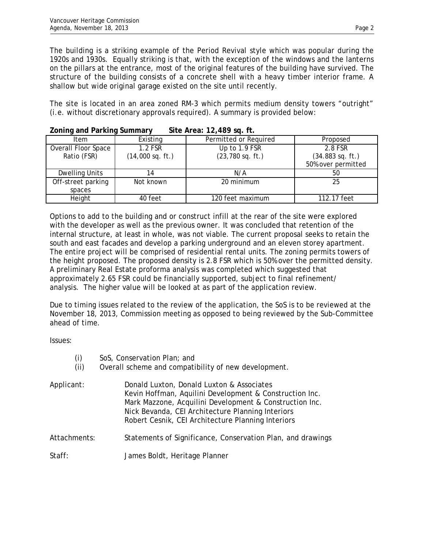The building is a striking example of the Period Revival style which was popular during the 1920s and 1930s. Equally striking is that, with the exception of the windows and the lanterns on the pillars at the entrance, most of the original features of the building have survived. The structure of the building consists of a concrete shell with a heavy timber interior frame. A shallow but wide original garage existed on the site until recently.

The site is located in an area zoned RM-3 which permits medium density towers "outright" (i.e. without discretionary approvals required). A summary is provided below:

| Item                | Existing           | Permitted or Required | Proposed                   |  |
|---------------------|--------------------|-----------------------|----------------------------|--|
| Overall Floor Space | 1.2 FSR            | Up to 1.9 FSR         | 2.8 FSR                    |  |
| Ratio (FSR)         | $(14,000$ sq. ft.) | $(23, 780$ sq. ft.)   | $(34.883 \text{ sq. ft.})$ |  |
|                     |                    |                       | 50% over permitted         |  |
| Dwelling Units      |                    | N/A                   | 50                         |  |
| Off-street parking  | Not known          | 20 minimum            | 25                         |  |
| spaces              |                    |                       |                            |  |
| Height              | 40 feet            | 120 feet maximum      | 112.17 feet                |  |

#### **Zoning and Parking Summary Site Area: 12,489 sq. ft.**

Options to add to the building and or construct infill at the rear of the site were explored with the developer as well as the previous owner. It was concluded that retention of the internal structure, at least in whole, was not viable. The current proposal seeks to retain the south and east facades and develop a parking underground and an eleven storey apartment. The entire project will be comprised of residential rental units. The zoning permits towers of the height proposed. The proposed density is 2.8 FSR which is 50% over the permitted density. A preliminary Real Estate proforma analysis was completed which suggested that approximately 2.65 FSR could be financially supported, subject to final refinement/ analysis. The higher value will be looked at as part of the application review.

Due to timing issues related to the review of the application, the SoS is to be reviewed at the November 18, 2013, Commission meeting as opposed to being reviewed by the Sub-Committee ahead of time.

Issues:

| (i)<br>(ii)  | SoS, Conservation Plan; and<br>Overall scheme and compatibility of new development.                                                                                                                                                                                        |
|--------------|----------------------------------------------------------------------------------------------------------------------------------------------------------------------------------------------------------------------------------------------------------------------------|
| Applicant:   | Donald Luxton, Donald Luxton & Associates<br>Kevin Hoffman, Aquilini Development & Construction Inc.<br>Mark Mazzone, Acquilini Development & Construction Inc.<br>Nick Bevanda, CEI Architecture Planning Interiors<br>Robert Cesnik, CEI Architecture Planning Interiors |
| Attachments: | Statements of Significance, Conservation Plan, and drawings                                                                                                                                                                                                                |
| Staff:       | James Boldt, Heritage Planner                                                                                                                                                                                                                                              |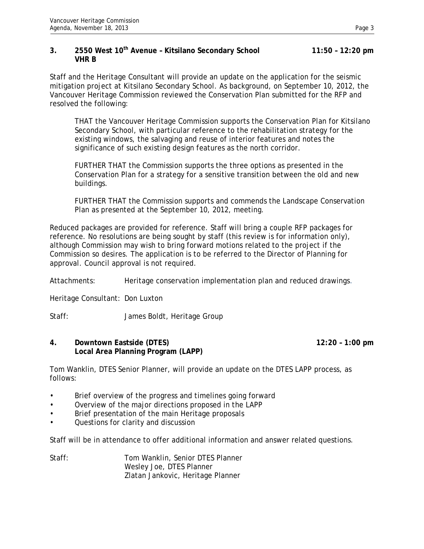## **3. 2550 West 10th Avenue – Kitsilano Secondary School 11:50 – 12:20 pm VHR B**

Staff and the Heritage Consultant will provide an update on the application for the seismic mitigation project at Kitsilano Secondary School. As background, on September 10, 2012, the Vancouver Heritage Commission reviewed the Conservation Plan submitted for the RFP and resolved the following:

THAT the Vancouver Heritage Commission supports the Conservation Plan for Kitsilano Secondary School, with particular reference to the rehabilitation strategy for the existing windows, the salvaging and reuse of interior features and notes the significance of such existing design features as the north corridor.

FURTHER THAT the Commission supports the three options as presented in the Conservation Plan for a strategy for a sensitive transition between the old and new buildings.

FURTHER THAT the Commission supports and commends the Landscape Conservation Plan as presented at the September 10, 2012, meeting.

Reduced packages are provided for reference. Staff will bring a couple RFP packages for reference. No resolutions are being sought by staff (this review is for information only), although Commission may wish to bring forward motions related to the project if the Commission so desires. The application is to be referred to the Director of Planning for approval. Council approval is not required.

Attachments: Heritage conservation implementation plan and reduced drawings.

Heritage Consultant: Don Luxton

Staff: James Boldt, Heritage Group

## **4. Downtown Eastside (DTES) 12:20 – 1:00 pm Local Area Planning Program (LAPP)**

Tom Wanklin, DTES Senior Planner, will provide an update on the DTES LAPP process, as follows:

- Brief overview of the progress and timelines going forward
- Overview of the major directions proposed in the LAPP
- Brief presentation of the main Heritage proposals
- Questions for clarity and discussion

Staff will be in attendance to offer additional information and answer related questions.

Staff: Tom Wanklin, Senior DTES Planner Wesley Joe, DTES Planner Zlatan Jankovic, Heritage Planner